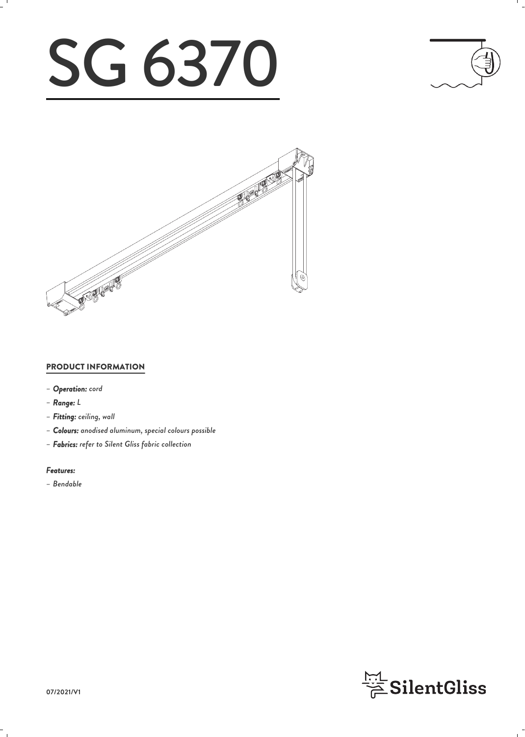# SG 6370





#### PRODUCT INFORMATION

- *– Operation: cord*
- *– Range: L*
- *– Fitting: ceiling, wall*
- *– Colours: anodised aluminum, special colours possible*
- *– Fabrics: refer to Silent Gliss fabric collection*

#### *Features:*

*– Bendable*

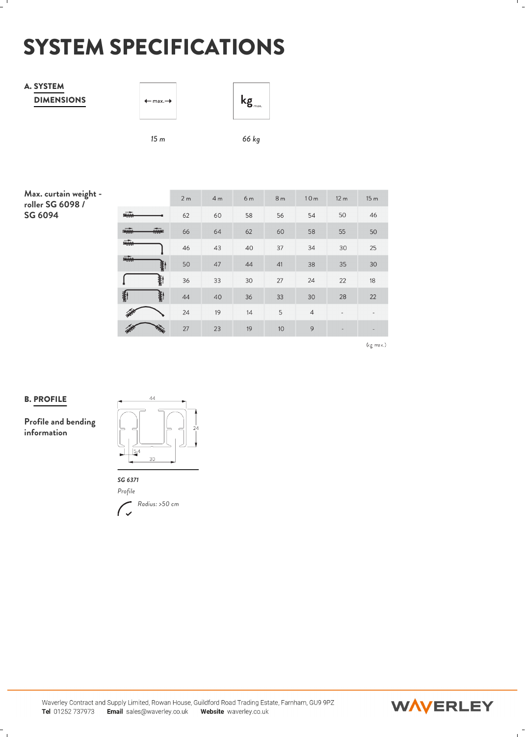# SYSTEM SPECIFICATIONS



(kg max.)

 $\overline{a}$ 

#### B. PROFILE

**Profile and bending information**



*SG 6371 Profile Radius: >50 cm* حس



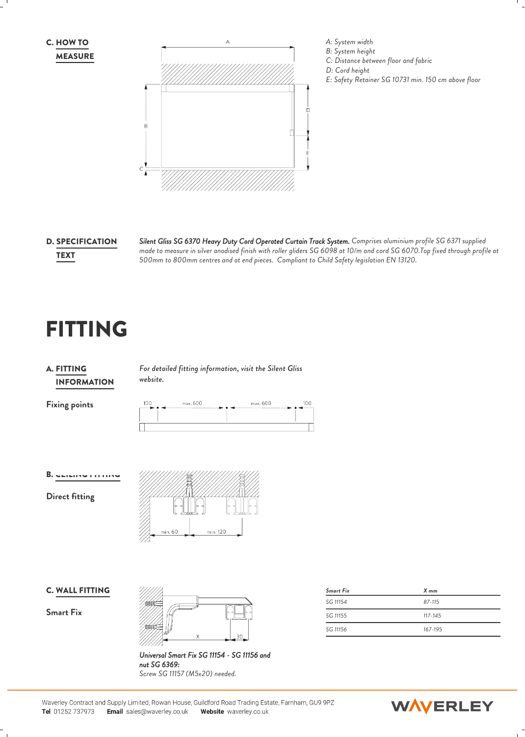



**D. SPECIFICATION** Silent Gliss S

*Silent Gliss SG 6370 Heavy Duty Cord Operated Curtain Track System. Comprises aluminium profile SG 6371 supplied made to measure in silver anodised finish with roller gliders SG 6098 at 10/m and cord SG 6070.Top fixed through profile at 500mm to 800mm centres and at end pieces. Compliant to Child Safety legislation EN 13120.* TEXT

# FITTING

| A. FITTING         | For detailed fitting information, visit the Silent Gliss |
|--------------------|----------------------------------------------------------|
| <b>INFORMATION</b> | website.                                                 |



B. CEILING FITTING

**Direct fitting**



#### C. WALL FITTING

**Smart Fix**



*Universal Smart Fix SG 11154 - SG 11156 and nut SG 6369: Screw SG 11157 (M5x20) needed.*

| <b>Smart Fix</b> | $X$ mm      |  |
|------------------|-------------|--|
| SG 11154         | $87 - 115$  |  |
| SG 11155         | $117 - 145$ |  |
| SG 11156         | 167-195     |  |
|                  |             |  |

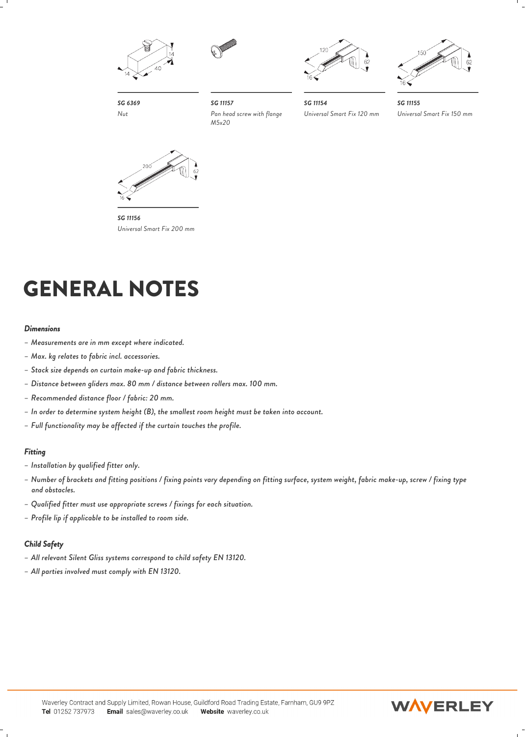



*M5x20*



*SG 6369 SG 11157 Pan head screw with flange SG 11154 Universal Smart Fix 120 mm Universal Smart Fix 150 mm*



*SG 11155*





*SG 11156 Universal Smart Fix 200 mm*

# GENERAL NOTES

#### *Dimensions*

- *– Measurements are in mm except where indicated.*
- *– Max. kg relates to fabric incl. accessories.*
- *– Stack size depends on curtain make-up and fabric thickness.*
- *– Distance between gliders max. 80 mm / distance between rollers max. 100 mm.*
- *– Recommended distance floor / fabric: 20 mm.*
- *– In order to determine system height (B), the smallest room height must be taken into account.*
- *– Full functionality may be affected if the curtain touches the profile.*

#### *Fitting*

- *– Installation by qualified fitter only.*
- *– Number of brackets and fitting positions / fixing points vary depending on fitting surface, system weight, fabric make-up, screw / fixing type and obstacles. – Stack size depends on curtain make-up and paric tnickness.*<br>- Distance between gliders max. 80 mm / distance between rollers max. 100 mm.<br>- Recommended distance floor / fabric: 20 mm.<br>- In order to determine system heig
- *– Qualified fitter must use appropriate screws / fixings for each situation.*
- *– Profile lip if applicable to be installed to room side.*

## *Child Safety*

- 
- 

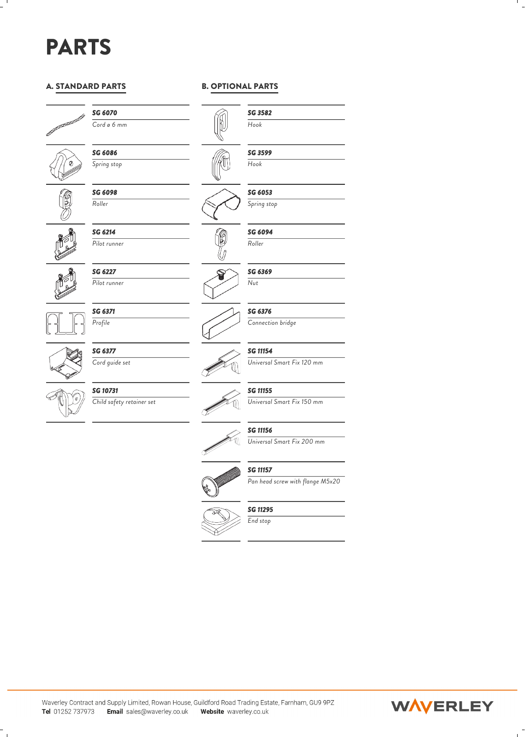# PARTS

## A. STANDARD PARTS



#### $S = 6070$ <br>
Cord e 6 mm *Cord ø 6 mm*

*SG 6086 Spring stop*



*SG 6098 Roller*

*Pilot runner*



*SG 6227 Pilot runner*



*Profile*

*SG 6371*

*SG 6377 Cord guide set*



*SG 10731 Child safety retainer set*





*SG 6369 Nut*

> *SG 6376 Connection bridge*

*SG 11154 Universal Smart Fix 120 mm*



*SG 11155 Universal Smart Fix 150 mm*

*Universal Smart Fix 200 mm*



*SG 11156*





## *SG 11157*

*Pan head screw with flange M5x20*

## *SG 11295 End stop*







## B. OPTIONAL PARTS

*SG 3582 Hook*

*SG 3599 Hook*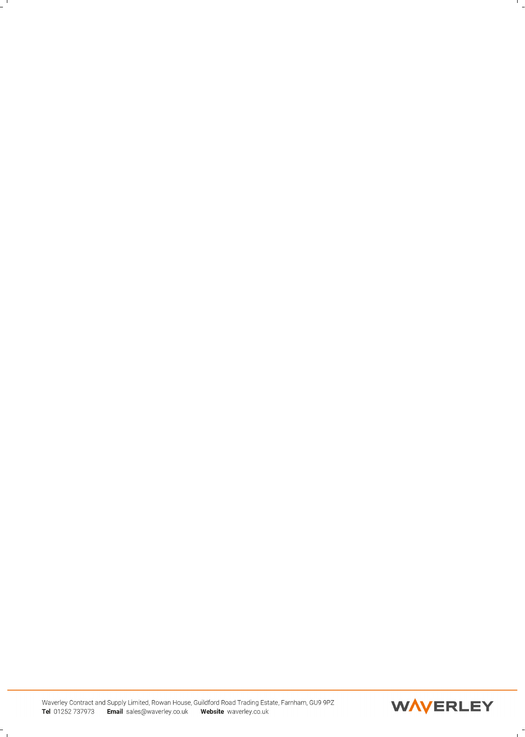